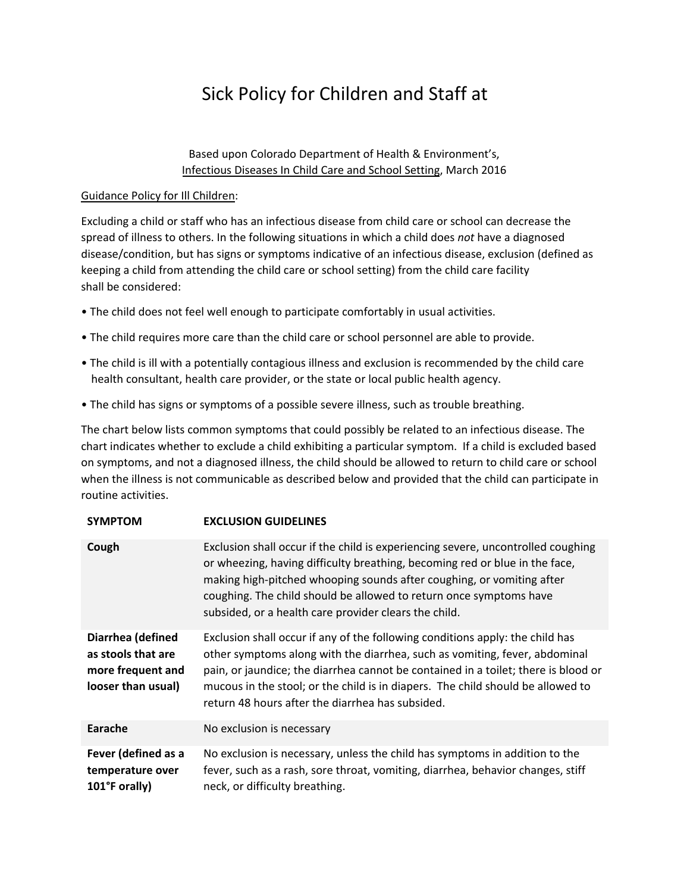## Sick Policy for Children and Staff at

## Based upon Colorado Department of Health & Environment's, [Infectious Diseases In Child Care and School Setting,](https://www.colorado.gov/pacific/sites/default/files/DC_ComDis-Infectious-Diseases-in-Child-Care-and-School-Settings.pdf) March 2016

## Guidance Policy for Ill Children:

Excluding a child or staff who has an infectious disease from child care or school can decrease the spread of illness to others. In the following situations in which a child does *not* have a diagnosed disease/condition, but has signs or symptoms indicative of an infectious disease, exclusion (defined as keeping a child from attending the child care or school setting) from the child care facility shall be considered:

- The child does not feel well enough to participate comfortably in usual activities.
- The child requires more care than the child care or school personnel are able to provide.
- The child is ill with a potentially contagious illness and exclusion is recommended by the child care health consultant, health care provider, or the state or local public health agency.
- The child has signs or symptoms of a possible severe illness, such as trouble breathing.

The chart below lists common symptoms that could possibly be related to an infectious disease. The chart indicates whether to exclude a child exhibiting a particular symptom. If a child is excluded based on symptoms, and not a diagnosed illness, the child should be allowed to return to child care or school when the illness is not communicable as described below and provided that the child can participate in routine activities.

| <b>SYMPTOM</b>                                                                     | <b>EXCLUSION GUIDELINES</b>                                                                                                                                                                                                                                                                                                                                                              |
|------------------------------------------------------------------------------------|------------------------------------------------------------------------------------------------------------------------------------------------------------------------------------------------------------------------------------------------------------------------------------------------------------------------------------------------------------------------------------------|
| Cough                                                                              | Exclusion shall occur if the child is experiencing severe, uncontrolled coughing<br>or wheezing, having difficulty breathing, becoming red or blue in the face,<br>making high-pitched whooping sounds after coughing, or vomiting after<br>coughing. The child should be allowed to return once symptoms have<br>subsided, or a health care provider clears the child.                  |
| Diarrhea (defined<br>as stools that are<br>more frequent and<br>looser than usual) | Exclusion shall occur if any of the following conditions apply: the child has<br>other symptoms along with the diarrhea, such as vomiting, fever, abdominal<br>pain, or jaundice; the diarrhea cannot be contained in a toilet; there is blood or<br>mucous in the stool; or the child is in diapers. The child should be allowed to<br>return 48 hours after the diarrhea has subsided. |
| Earache                                                                            | No exclusion is necessary                                                                                                                                                                                                                                                                                                                                                                |
| Fever (defined as a<br>temperature over<br>101°F orally)                           | No exclusion is necessary, unless the child has symptoms in addition to the<br>fever, such as a rash, sore throat, vomiting, diarrhea, behavior changes, stiff<br>neck, or difficulty breathing.                                                                                                                                                                                         |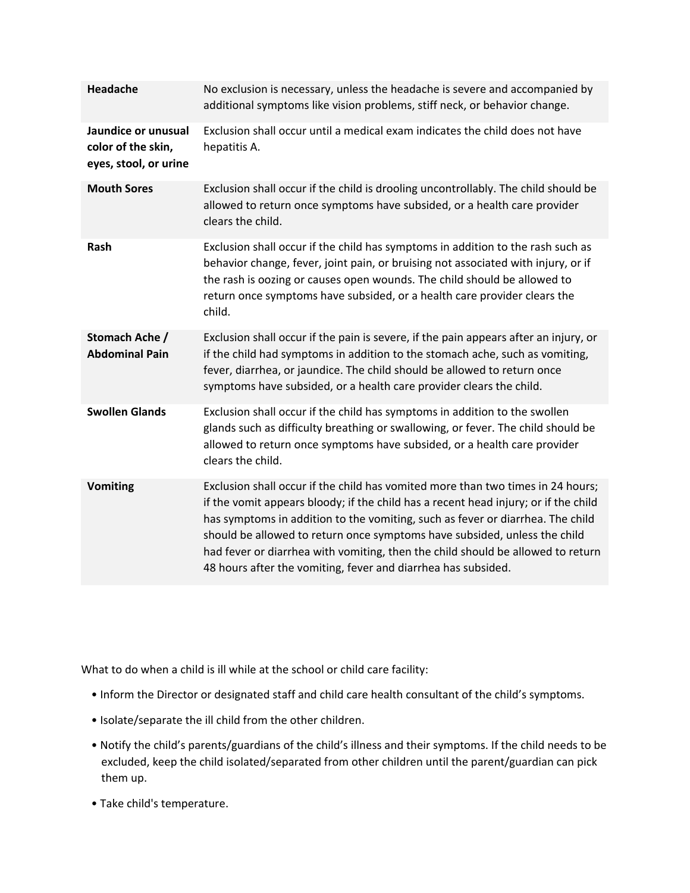| <b>Headache</b>                                                    | No exclusion is necessary, unless the headache is severe and accompanied by<br>additional symptoms like vision problems, stiff neck, or behavior change.                                                                                                                                                                                                                                                                                                                                  |
|--------------------------------------------------------------------|-------------------------------------------------------------------------------------------------------------------------------------------------------------------------------------------------------------------------------------------------------------------------------------------------------------------------------------------------------------------------------------------------------------------------------------------------------------------------------------------|
| Jaundice or unusual<br>color of the skin,<br>eyes, stool, or urine | Exclusion shall occur until a medical exam indicates the child does not have<br>hepatitis A.                                                                                                                                                                                                                                                                                                                                                                                              |
| <b>Mouth Sores</b>                                                 | Exclusion shall occur if the child is drooling uncontrollably. The child should be<br>allowed to return once symptoms have subsided, or a health care provider<br>clears the child.                                                                                                                                                                                                                                                                                                       |
| Rash                                                               | Exclusion shall occur if the child has symptoms in addition to the rash such as<br>behavior change, fever, joint pain, or bruising not associated with injury, or if<br>the rash is oozing or causes open wounds. The child should be allowed to<br>return once symptoms have subsided, or a health care provider clears the<br>child.                                                                                                                                                    |
| Stomach Ache /<br><b>Abdominal Pain</b>                            | Exclusion shall occur if the pain is severe, if the pain appears after an injury, or<br>if the child had symptoms in addition to the stomach ache, such as vomiting,<br>fever, diarrhea, or jaundice. The child should be allowed to return once<br>symptoms have subsided, or a health care provider clears the child.                                                                                                                                                                   |
| <b>Swollen Glands</b>                                              | Exclusion shall occur if the child has symptoms in addition to the swollen<br>glands such as difficulty breathing or swallowing, or fever. The child should be<br>allowed to return once symptoms have subsided, or a health care provider<br>clears the child.                                                                                                                                                                                                                           |
| <b>Vomiting</b>                                                    | Exclusion shall occur if the child has vomited more than two times in 24 hours;<br>if the vomit appears bloody; if the child has a recent head injury; or if the child<br>has symptoms in addition to the vomiting, such as fever or diarrhea. The child<br>should be allowed to return once symptoms have subsided, unless the child<br>had fever or diarrhea with vomiting, then the child should be allowed to return<br>48 hours after the vomiting, fever and diarrhea has subsided. |

What to do when a child is ill while at the school or child care facility:

- Inform the Director or designated staff and child care health consultant of the child's symptoms.
- Isolate/separate the ill child from the other children.
- Notify the child's parents/guardians of the child's illness and their symptoms. If the child needs to be excluded, keep the child isolated/separated from other children until the parent/guardian can pick them up.
- Take child's temperature.